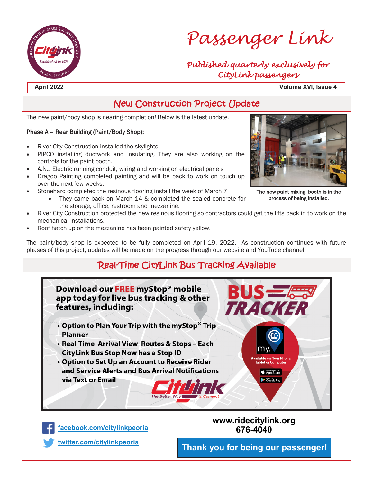

# *Passenger Link*

#### *Published quarterly exclusively for CityLink passengers*

**April 2022 Volume XVI, Issue 4**

## New Construction Project Update

The new paint/body shop is nearing completion! Below is the latest update.

#### Phase A – Rear Building (Paint/Body Shop):

- River City Construction installed the skylights.
- PIPCO installing ductwork and insulating. They are also working on the controls for the paint booth.
- A.N.J Electric running conduit, wiring and working on electrical panels
- Dragoo Painting completed painting and will be back to work on touch up over the next few weeks.
- Stonehard completed the resinous flooring install the week of March 7
	- They came back on March 14 & completed the sealed concrete for the storage, office, restroom and mezzanine.
- River City Construction protected the new resinous flooring so contractors could get the lifts back in to work on the mechanical installations.
- Roof hatch up on the mezzanine has been painted safety yellow.

The paint/body shop is expected to be fully completed on April 19, 2022. As construction continues with future phases of this project, updates will be made on the progress through our website and YouTube channel.

## Real-Time CityLink Bus Tracking Available





#### **www.ridecitylink.org 676-4040**

**<twitter.com/citylinkpeoria>**

**Thank you for being our passenger!**



The new paint mixing booth is in the process of being installed.